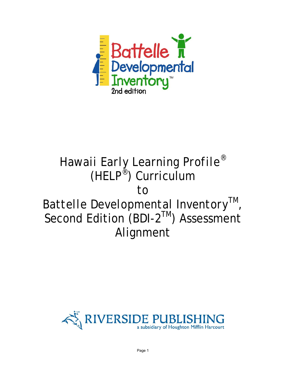

## *Hawaii Early Learning Profile*® (*HELP*®) Curriculum to *Battelle Developmental Inventory*™, Second Edition (*BDI-2*™) Assessment Alignment

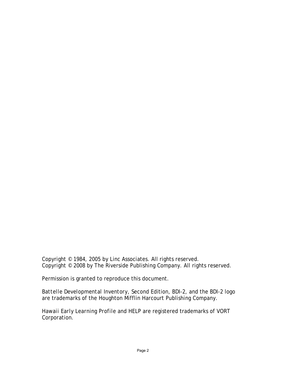Copyright © 1984, 2005 by Linc Associates. All rights reserved. Copyright © 2008 by The Riverside Publishing Company. All rights reserved.

Permission is granted to reproduce this document.

*Battelle Developmental Inventory*, Second Edition, *BDI-2*, and the *BDI-2* logo are trademarks of the Houghton Mifflin Harcourt Publishing Company.

*Hawaii Early Learning Profile* and *HELP* are registered trademarks of VORT Corporation.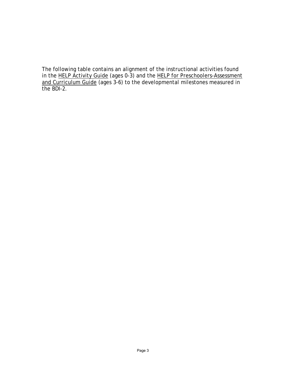The following table contains an alignment of the instructional activities found in the *HELP* Activity Guide (ages 0-3) and the *HELP* for Preschoolers-Assessment and Curriculum Guide (ages 3-6) to the developmental milestones measured in the *BDI-2*.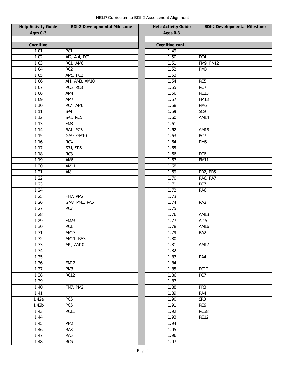| <b>Help Activity Guide</b> | <b>BDI-2 Developmental Milestone</b> | <b>Help Activity Guide</b> | <b>BDI-2 Developmental Milestone</b> |
|----------------------------|--------------------------------------|----------------------------|--------------------------------------|
| Ages 0-3                   |                                      | Ages 0-3                   |                                      |
|                            |                                      |                            |                                      |
| Cognitive                  |                                      | Cognitive cont.            |                                      |
| 1.01                       | PC1                                  | 1.49                       |                                      |
| 1.02                       | AI2, AI4, PC1                        | 1.50                       | PC4                                  |
| 1.03                       | RC1, AM6                             | 1.51                       | <b>FM9, FM12</b>                     |
| 1.04                       | RC <sub>2</sub>                      | 1.52                       | PM <sub>3</sub>                      |
| 1.05                       | AM5, PC2                             | 1.53                       |                                      |
| 1.06                       | AI1, AM8, AM10                       | 1.54                       | RC <sub>5</sub>                      |
| 1.07                       | RC5, RC8                             | 1.55                       | RC7                                  |
| 1.08                       | AM4                                  | 1.56                       | <b>RC13</b>                          |
| 1.09                       | AM7                                  | 1.57                       | <b>FM13</b>                          |
| 1.10                       | RC4, AM6                             | 1.58                       | PM <sub>6</sub>                      |
| 1.11                       | SR4                                  | 1.59                       | SC <sub>9</sub>                      |
| 1.12                       | SR1, RC5                             | 1.60                       | AM14                                 |
| 1.13                       | FM3                                  | 1.61                       |                                      |
| 1.14                       | RA1, PC3                             | 1.62                       | <b>AM13</b>                          |
| 1.15                       | GM9, GM10                            | 1.63                       | PC7                                  |
| 1.16                       | RC4                                  | 1.64                       | PM <sub>6</sub>                      |
| 1.17                       | SR4, SR5                             | 1.65                       |                                      |
| 1.18                       | RC3                                  | 1.66                       | PC <sub>6</sub>                      |
| 1.19                       | AM6                                  | 1.67                       | <b>FM11</b>                          |
| 1.20                       | AM11                                 | 1.68                       |                                      |
| 1.21                       | AI8                                  | 1.69                       | PR2, PR6                             |
| 1.22                       |                                      | 1.70                       | RA6, RA7                             |
| 1.23                       |                                      | 1.71                       | PC7                                  |
| 1.24                       |                                      | 1.72                       | RA6                                  |
| 1.25                       | FM7, PM2                             | 1.73                       |                                      |
| 1.26                       | GM8, PM1, RA5                        | 1.74                       | RA <sub>2</sub>                      |
| 1.27                       | RC7                                  | 1.75                       |                                      |
| 1.28                       |                                      | 1.76                       | AM13                                 |
|                            |                                      |                            |                                      |
| 1.29                       | <b>FM23</b>                          | 1.77                       | AI15                                 |
| 1.30                       | RC1                                  | 1.78                       | AM16                                 |
| 1.31                       | AM13                                 | 1.79                       | RA <sub>2</sub>                      |
| 1.32                       | <b>AM11, RA3</b>                     | 1.80                       |                                      |
| 1.33                       | AI9, AM10                            | 1.81                       | <b>AM17</b>                          |
| 1.34                       |                                      | 1.82                       |                                      |
| 1.35                       |                                      | 1.83                       | RA4                                  |
| 1.36                       | <b>FM12</b>                          | 1.84                       |                                      |
| 1.37                       | PM <sub>3</sub>                      | 1.85                       | <b>PC12</b>                          |
| 1.38                       | <b>RC12</b>                          | 1.86                       | PC7                                  |
| 1.39                       |                                      | 1.87                       |                                      |
| 1.40                       | FM7, PM2                             | 1.88                       | PR <sub>3</sub>                      |
| 1.41                       |                                      | 1.89                       | RA4                                  |
| 1.42a                      | PC <sub>6</sub>                      | 1.90                       | SR <sub>8</sub>                      |
| 1.42 <sub>b</sub>          | PC6                                  | 1.91                       | RC9                                  |
| 1.43                       | <b>RC11</b>                          | 1.92                       | <b>RC38</b>                          |
| 1.44                       |                                      | 1.93                       | <b>RC12</b>                          |
| 1.45                       | PM <sub>2</sub>                      | 1.94                       |                                      |
| 1.46                       | RA3                                  | 1.95                       |                                      |
| 1.47                       | RA <sub>5</sub>                      | 1.96                       |                                      |
| 1.48                       | RC <sub>6</sub>                      | 1.97                       |                                      |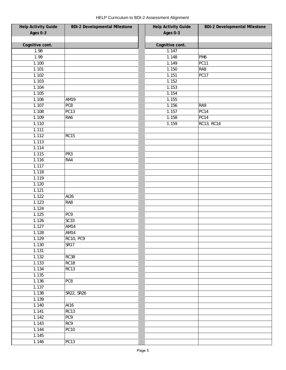| <b>Help Activity Guide</b> | <b>BDI-2 Developmental Milestone</b> | <b>Help Activity Guide</b> | <b>BDI-2 Developmental Milestone</b> |
|----------------------------|--------------------------------------|----------------------------|--------------------------------------|
| Ages 0-3                   |                                      | Ages 0-3                   |                                      |
|                            |                                      |                            |                                      |
| Cognitive cont.            |                                      | Cognitive cont.            |                                      |
| 1.98                       |                                      | 1.147                      |                                      |
| 1.99                       |                                      | 1.148                      | PM <sub>6</sub>                      |
| 1.100                      |                                      | 1.149                      | PC11                                 |
| 1.101                      |                                      | 1.150                      | RA8                                  |
| 1.102                      |                                      | 1.151                      | PC17                                 |
| 1.103                      |                                      | 1.152                      |                                      |
| 1.104                      |                                      | 1.153                      |                                      |
| 1.105                      |                                      | 1.154                      |                                      |
| 1.106                      | AM19                                 | 1.155                      |                                      |
| 1.107                      | PC8                                  | 1.156                      | RA9                                  |
| 1.108                      | PC <sub>13</sub>                     | 1.157                      | <b>PC14</b>                          |
| 1.109                      | RA6                                  | 1.158                      | PC14                                 |
| 1.110                      |                                      | 1.159                      | <b>RC13, RC14</b>                    |
| 1.111                      |                                      |                            |                                      |
| 1.112                      | <b>RC15</b>                          |                            |                                      |
| 1.113                      |                                      |                            |                                      |
| 1.114                      |                                      |                            |                                      |
| 1.115                      | PR <sub>3</sub>                      |                            |                                      |
| 1.116                      | RA4                                  |                            |                                      |
| 1.117                      |                                      |                            |                                      |
| 1.118                      |                                      |                            |                                      |
| 1.119                      |                                      |                            |                                      |
| 1.120                      |                                      |                            |                                      |
| 1.121                      |                                      |                            |                                      |
| 1.122                      | AI26                                 |                            |                                      |
| 1.123                      | RA8                                  |                            |                                      |
| 1.124                      |                                      |                            |                                      |
| 1.125                      | PC9                                  |                            |                                      |
| 1.126                      | SC33                                 |                            |                                      |
| 1.127                      | AM14                                 |                            |                                      |
| 1.128                      | AM14                                 |                            |                                      |
| 1.129                      | <b>RC10, PC9</b>                     |                            |                                      |
| 1.130                      | SR17                                 |                            |                                      |
| 1.131                      |                                      |                            |                                      |
| 1.132                      | <b>RC38</b>                          |                            |                                      |
| 1.133                      | RC18                                 |                            |                                      |
| 1.134                      | <b>RC13</b>                          |                            |                                      |
| 1.135                      |                                      |                            |                                      |
| 1.136                      | PC8                                  |                            |                                      |
| 1.137                      |                                      |                            |                                      |
| 1.138                      | SR22, SR26                           |                            |                                      |
| 1.139                      |                                      |                            |                                      |
| 1.140                      | $\overline{Al}16$                    |                            |                                      |
| 1.141                      | RC13                                 |                            |                                      |
| 1.142                      | PC9                                  |                            |                                      |
| 1.143                      | RC9                                  |                            |                                      |
| 1.144                      | <b>PC10</b>                          |                            |                                      |
| 1.145                      |                                      |                            |                                      |
| 1.146                      | <b>PC13</b>                          |                            |                                      |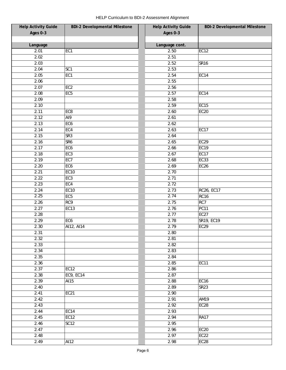| <b>Help Activity Guide</b> | <b>BDI-2 Developmental Milestone</b> | <b>Help Activity Guide</b> | <b>BDI-2 Developmental Milestone</b> |
|----------------------------|--------------------------------------|----------------------------|--------------------------------------|
| Ages 0-3                   |                                      | Ages 0-3                   |                                      |
|                            |                                      |                            |                                      |
| Language                   |                                      | Language cont.             |                                      |
| 2.01                       | EC1                                  | 2.50                       | <b>EC12</b>                          |
| 2.02                       |                                      | 2.51                       |                                      |
| 2.03                       |                                      | 2.52                       | <b>SR16</b>                          |
| 2.04                       | SC <sub>1</sub>                      | 2.53                       |                                      |
| 2.05                       | EC1                                  | 2.54                       | EC14                                 |
| 2.06                       |                                      | 2.55                       |                                      |
| 2.07                       | EC <sub>2</sub>                      | 2.56                       |                                      |
| 2.08                       | EC <sub>5</sub>                      | 2.57                       | <b>EC14</b>                          |
| 2.09                       |                                      | 2.58                       |                                      |
| 2.10                       |                                      | 2.59                       | <b>EC15</b>                          |
| 2.11                       | EC8                                  | 2.60                       | <b>EC20</b>                          |
| 2.12                       | AI9                                  | 2.61                       |                                      |
| 2.13                       | EC <sub>6</sub>                      | 2.62                       |                                      |
| 2.14                       | EC4                                  | 2.63                       | <b>EC17</b>                          |
| 2.15                       | SR3                                  | 2.64                       |                                      |
| 2.16                       | SR <sub>6</sub>                      | 2.65                       | <b>EC29</b>                          |
| 2.17                       | EC <sub>6</sub>                      | 2.66                       | <b>EC19</b>                          |
| 2.18                       | EC <sub>3</sub>                      | 2.67                       | EC17                                 |
| 2.19                       | EC7                                  | 2.68                       | <b>EC33</b>                          |
| 2.20                       | EC <sub>6</sub>                      | 2.69                       | EC <sub>26</sub>                     |
| 2.21                       | <b>EC10</b>                          | 2.70                       |                                      |
| 2.22                       | EC <sub>3</sub>                      | 2.71                       |                                      |
| 2.23                       | EC4                                  | 2.72                       |                                      |
| 2.24                       | <b>EC10</b>                          | 2.73                       | RC26, EC17                           |
| 2.25                       | EC <sub>5</sub>                      | 2.74                       | <b>RC16</b>                          |
| 2.26                       | RC9                                  | 2.75                       | RC7                                  |
| 2.27                       | EC13                                 | 2.76                       | PC11                                 |
| 2.28                       |                                      | 2.77                       | <b>EC27</b>                          |
| 2.29                       | EC <sub>6</sub>                      | 2.78                       | SR19, EC19                           |
| 2.30                       | AI12, AI14                           | 2.79                       | <b>EC29</b>                          |
| 2.31                       |                                      | 2.80                       |                                      |
| 2.32                       |                                      | 2.81                       |                                      |
| 2.33                       |                                      | 2.82                       |                                      |
| 2.34                       |                                      | 2.83                       |                                      |
| 2.35                       |                                      | 2.84                       |                                      |
| 2.36                       |                                      | 2.85                       | <b>EC11</b>                          |
| 2.37                       | EC12                                 | 2.86                       |                                      |
| 2.38                       | EC9, EC14                            | 2.87                       |                                      |
| 2.39                       | AI15                                 | 2.88                       | <b>EC16</b>                          |
| 2.40                       |                                      | 2.89                       | <b>SR23</b>                          |
| 2.41                       | EC21                                 | 2.90                       |                                      |
| 2.42                       |                                      | 2.91                       | <b>AM19</b>                          |
| 2.43                       |                                      | 2.92                       | EC28                                 |
| 2.44                       | EC14                                 | 2.93                       |                                      |
| 2.45                       | <b>EC12</b>                          | 2.94                       | <b>RA17</b>                          |
| 2.46                       | <b>SC12</b>                          | 2.95                       |                                      |
| 2.47                       |                                      | 2.96                       | <b>EC20</b>                          |
| 2.48                       |                                      | 2.97                       | EC22                                 |
| 2.49                       | AI12                                 | 2.98                       | EC <sub>28</sub>                     |
|                            |                                      |                            |                                      |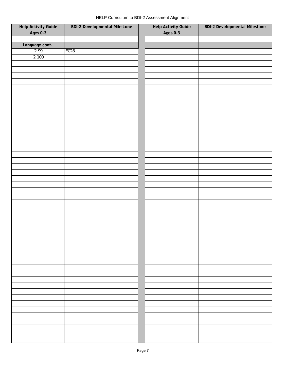| HELP Curriculum to BDI-2 Assessment Alignment |  |  |
|-----------------------------------------------|--|--|
|-----------------------------------------------|--|--|

|                                 | <b>BDI-2 Developmental Milestone</b> |                                 | <b>BDI-2 Developmental Milestone</b> |
|---------------------------------|--------------------------------------|---------------------------------|--------------------------------------|
| Help Activity Guide<br>Ages 0-3 |                                      | Help Activity Guide<br>Ages 0-3 |                                      |
|                                 |                                      |                                 |                                      |
| Language cont.                  |                                      |                                 |                                      |
| 2.99                            | EC <sub>28</sub>                     |                                 |                                      |
| 2.100                           |                                      |                                 |                                      |
|                                 |                                      |                                 |                                      |
|                                 |                                      |                                 |                                      |
|                                 |                                      |                                 |                                      |
|                                 |                                      |                                 |                                      |
|                                 |                                      |                                 |                                      |
|                                 |                                      |                                 |                                      |
|                                 |                                      |                                 |                                      |
|                                 |                                      |                                 |                                      |
|                                 |                                      |                                 |                                      |
|                                 |                                      |                                 |                                      |
|                                 |                                      |                                 |                                      |
|                                 |                                      |                                 |                                      |
|                                 |                                      |                                 |                                      |
|                                 |                                      |                                 |                                      |
|                                 |                                      |                                 |                                      |
|                                 |                                      |                                 |                                      |
|                                 |                                      |                                 |                                      |
|                                 |                                      |                                 |                                      |
|                                 |                                      |                                 |                                      |
|                                 |                                      |                                 |                                      |
|                                 |                                      |                                 |                                      |
|                                 |                                      |                                 |                                      |
|                                 |                                      |                                 |                                      |
|                                 |                                      |                                 |                                      |
|                                 |                                      |                                 |                                      |
|                                 |                                      |                                 |                                      |
|                                 |                                      |                                 |                                      |
|                                 |                                      |                                 |                                      |
|                                 |                                      |                                 |                                      |
|                                 |                                      |                                 |                                      |
|                                 |                                      |                                 |                                      |
|                                 |                                      |                                 |                                      |
|                                 |                                      |                                 |                                      |
|                                 |                                      |                                 |                                      |
|                                 |                                      |                                 |                                      |
|                                 |                                      |                                 |                                      |
|                                 |                                      |                                 |                                      |
|                                 |                                      |                                 |                                      |
|                                 |                                      |                                 |                                      |
|                                 |                                      |                                 |                                      |
|                                 |                                      |                                 |                                      |
|                                 |                                      |                                 |                                      |
|                                 |                                      |                                 |                                      |
|                                 |                                      |                                 |                                      |
|                                 |                                      |                                 |                                      |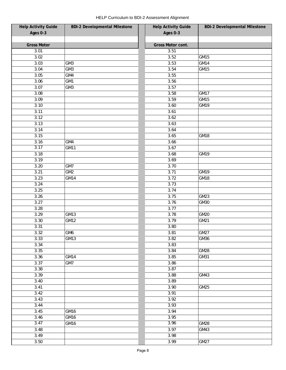| <b>Help Activity Guide</b> | <b>BDI-2 Developmental Milestone</b> | <b>Help Activity Guide</b> | <b>BDI-2 Developmental Milestone</b> |
|----------------------------|--------------------------------------|----------------------------|--------------------------------------|
| Ages 0-3                   |                                      | Ages 0-3                   |                                      |
|                            |                                      |                            |                                      |
| <b>Gross Motor</b>         |                                      | Gross Motor cont.          |                                      |
| 3.01                       |                                      | 3.51                       |                                      |
| 3.02                       |                                      | 3.52                       | GM15                                 |
| 3.03                       | GM <sub>3</sub>                      | 3.53                       | GM14                                 |
| 3.04                       | GM <sub>3</sub>                      | 3.54                       | GM15                                 |
| 3.05                       | GM4                                  | 3.55                       |                                      |
| 3.06                       | GM1                                  | 3.56                       |                                      |
| 3.07                       | GM3                                  | 3.57                       |                                      |
| 3.08                       |                                      | 3.58                       | <b>GM17</b>                          |
| 3.09                       |                                      | 3.59                       | GM15                                 |
| 3.10                       |                                      | 3.60                       | GM19                                 |
| 3.11                       |                                      | 3.61                       |                                      |
| 3.12                       |                                      | 3.62                       |                                      |
| 3.13                       |                                      | 3.63                       |                                      |
| 3.14                       |                                      | 3.64                       |                                      |
| 3.15                       |                                      | 3.65                       | GM18                                 |
| 3.16                       | GM4                                  | 3.66                       |                                      |
| 3.17                       | <b>GM11</b>                          | 3.67                       |                                      |
| 3.18                       |                                      | 3.68                       | GM19                                 |
| 3.19                       |                                      | 3.69                       |                                      |
| 3.20                       | GM7                                  | 3.70                       |                                      |
| 3.21                       | GM2                                  | 3.71                       | GM19                                 |
| 3.23                       | GM14                                 | 3.72                       | GM18                                 |
| 3.24                       |                                      | 3.73                       |                                      |
| 3.25                       |                                      | 3.74                       |                                      |
| 3.26                       |                                      | 3.75                       | GM23                                 |
| 3.27                       |                                      | 3.76                       | GM30                                 |
| 3.28                       |                                      | 3.77                       |                                      |
| 3.29                       | GM13                                 | 3.78                       | GM20                                 |
| 3.30                       | <b>GM12</b>                          | 3.79                       | GM21                                 |
| 3.31                       |                                      | 3.80                       |                                      |
| 3.32                       | GM6                                  | 3.81                       | $\overline{GM}27$                    |
| 3.33                       | GM13                                 | 3.82                       | GM36                                 |
| 3.34                       |                                      | 3.83                       |                                      |
| 3.35                       |                                      | 3.84                       | GM28                                 |
| 3.36                       | GM14                                 | 3.85                       | GM31                                 |
| 3.37                       | GM7                                  | 3.86                       |                                      |
| 3.38                       |                                      | 3.87                       |                                      |
| 3.39                       |                                      | 3.88                       | GM43                                 |
| 3.40                       |                                      | 3.89                       |                                      |
| 3.41                       |                                      | 3.90                       | GM25                                 |
| 3.42                       |                                      | 3.91                       |                                      |
| 3.43                       |                                      | 3.92                       |                                      |
| 3.44                       |                                      | 3.93                       |                                      |
| 3.45                       | GM16                                 | 3.94                       |                                      |
| 3.46                       | GM16                                 | 3.95                       |                                      |
| 3.47                       | GM16                                 | 3.96                       | GM28                                 |
| 3.48                       |                                      | 3.97                       | GM43                                 |
| 3.49                       |                                      | 3.98                       |                                      |
| 3.50                       |                                      | 3.99                       | GM27                                 |
|                            |                                      |                            |                                      |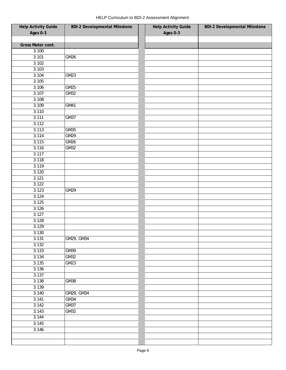| <b>Help Activity Guide</b> | <b>BDI-2 Developmental Milestone</b> | <b>Help Activity Guide</b> | <b>BDI-2 Developmental Milestone</b> |
|----------------------------|--------------------------------------|----------------------------|--------------------------------------|
| Ages 0-3                   |                                      | Ages 0-3                   |                                      |
|                            |                                      |                            |                                      |
| Gross Motor cont.          |                                      |                            |                                      |
| 3.100                      |                                      |                            |                                      |
| 3.101                      | GM26                                 |                            |                                      |
| 3.102                      |                                      |                            |                                      |
| 3.103                      |                                      |                            |                                      |
| 3.104                      | GM23                                 |                            |                                      |
| 3.105                      |                                      |                            |                                      |
| 3.106                      | GM25                                 |                            |                                      |
| 3.107                      | GM32                                 |                            |                                      |
| 3.108                      |                                      |                            |                                      |
| 3.109                      | GM41                                 |                            |                                      |
| 3.110                      |                                      |                            |                                      |
| 3.111                      | GM37                                 |                            |                                      |
| 3.112                      |                                      |                            |                                      |
| 3.113                      | GM35                                 |                            |                                      |
| 3.114                      | GM29                                 |                            |                                      |
| 3.115                      | GM26                                 |                            |                                      |
| 3.116                      | GM32                                 |                            |                                      |
| 3.117                      |                                      |                            |                                      |
| 3.118                      |                                      |                            |                                      |
| 3.119                      |                                      |                            |                                      |
| 3.120                      |                                      |                            |                                      |
| 3.121                      |                                      |                            |                                      |
| 3.122                      |                                      |                            |                                      |
| 3.123                      | GM29                                 |                            |                                      |
| 3.124                      |                                      |                            |                                      |
| 3.125                      |                                      |                            |                                      |
| 3.126                      |                                      |                            |                                      |
| 3.127                      |                                      |                            |                                      |
| 3.128                      |                                      |                            |                                      |
| 3.129                      |                                      |                            |                                      |
| 3.130                      |                                      |                            |                                      |
| 3.131                      | GM29, GM34                           |                            |                                      |
| 3.132                      |                                      |                            |                                      |
| 3.133                      | GM39                                 |                            |                                      |
| 3.134                      | GM32                                 |                            |                                      |
| 3.135                      | GM23                                 |                            |                                      |
| 3.136                      |                                      |                            |                                      |
| 3.137                      |                                      |                            |                                      |
| 3.138                      | GM38                                 |                            |                                      |
| 3.139                      |                                      |                            |                                      |
| 3.140                      | GM29, GM34                           |                            |                                      |
| 3.141                      | GM34                                 |                            |                                      |
| 3.142                      | <b>GM37</b>                          |                            |                                      |
| 3.143                      | GM32                                 |                            |                                      |
| 3.144                      |                                      |                            |                                      |
| 3.145                      |                                      |                            |                                      |
| 3.146                      |                                      |                            |                                      |
|                            |                                      |                            |                                      |
|                            |                                      |                            |                                      |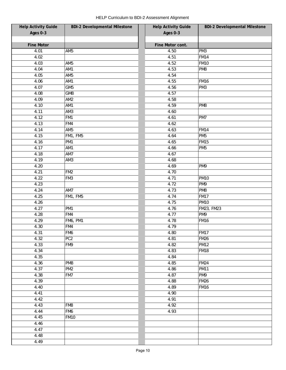| <b>Help Activity Guide</b> | <b>BDI-2 Developmental Milestone</b> | <b>Help Activity Guide</b> | <b>BDI-2 Developmental Milestone</b> |
|----------------------------|--------------------------------------|----------------------------|--------------------------------------|
| Ages 0-3                   |                                      | Ages 0-3                   |                                      |
|                            |                                      |                            |                                      |
| <b>Fine Motor</b>          |                                      | Fine Motor cont.           |                                      |
| 4.01                       | AM <sub>5</sub>                      | 4.50                       | PM <sub>3</sub>                      |
| 4.02                       |                                      | 4.51                       | <b>FM14</b>                          |
| 4.03                       | AM <sub>5</sub>                      | 4.52                       | <b>FM10</b>                          |
| 4.04                       | AM1                                  | 4.53                       | PM8                                  |
| 4.05                       | AM <sub>5</sub>                      | 4.54                       |                                      |
| 4.06                       | AM1                                  | 4.55                       | <b>FM16</b>                          |
| 4.07                       | GM <sub>5</sub>                      | 4.56                       | PM <sub>3</sub>                      |
| 4.08                       | GM8                                  | 4.57                       |                                      |
| 4.09                       | AM <sub>2</sub>                      | 4.58                       |                                      |
| 4.10                       | AM1                                  | 4.59                       | PM8                                  |
| 4.11                       | AM3                                  | 4.60                       |                                      |
| 4.12                       | FM1                                  | 4.61                       | PM7                                  |
| 4.13                       | FM4                                  | 4.62                       |                                      |
| 4.14                       | AM <sub>5</sub>                      | 4.63                       | <b>FM14</b>                          |
| 4.15                       | FM1, FM5                             | 4.64                       | PM <sub>5</sub>                      |
| 4.16                       | PM <sub>1</sub>                      | 4.65                       | <b>FM15</b>                          |
| 4.17                       | AM1                                  | 4.66                       | PM <sub>5</sub>                      |
| 4.18                       | AM7                                  | 4.67                       |                                      |
| 4.19                       | AM3                                  | 4.68                       |                                      |
| 4.20                       |                                      | 4.69                       | PM9                                  |
| 4.21                       | FM <sub>2</sub>                      | 4.70                       |                                      |
| 4.22                       | FM3                                  | 4.71                       | <b>PM10</b>                          |
| 4.23                       |                                      | 4.72                       | PM9                                  |
| 4.24                       | AM7                                  | 4.73                       | PM8                                  |
| 4.25                       | FM1, FM5                             | 4.74                       | <b>FM17</b>                          |
| 4.26                       |                                      | 4.75                       | <b>PM10</b>                          |
| 4.27                       | PM <sub>1</sub>                      | 4.76                       | FM23, FM23                           |
| 4.28                       | FM4                                  | 4.77                       | PM9                                  |
| 4.29                       | <b>FM6, PM1</b>                      | 4.78                       | <b>FM16</b>                          |
| 4.30                       | FM4                                  | 4.79                       |                                      |
| 4.31                       | FM6                                  | 4.80                       | <b>FM17</b>                          |
| 4.32                       | PC <sub>2</sub>                      | 4.81                       | <b>FM26</b>                          |
| 4.33                       | FM9                                  | 4.82                       | <b>PM12</b>                          |
| 4.34                       |                                      | 4.83                       | <b>FM18</b>                          |
| 4.35                       |                                      | 4.84                       |                                      |
| 4.36                       | PM8                                  | 4.85                       | <b>FM24</b>                          |
| 4.37                       | PM <sub>2</sub>                      | 4.86                       | <b>PM11</b>                          |
| 4.38                       | FM7                                  | 4.87                       | PM9                                  |
| 4.39                       |                                      | 4.88                       | <b>FM26</b>                          |
| 4.40                       |                                      | 4.89                       | <b>FM16</b>                          |
| 4.41                       |                                      | 4.90                       |                                      |
| 4.42                       |                                      | 4.91                       |                                      |
| 4.43                       | FM8                                  | $\overline{4.92}$          |                                      |
| 4.44                       | FM6                                  | 4.93                       |                                      |
| 4.45                       | <b>FM10</b>                          |                            |                                      |
| 4.46                       |                                      |                            |                                      |
| 4.47                       |                                      |                            |                                      |
| 4.48                       |                                      |                            |                                      |
| 4.49                       |                                      |                            |                                      |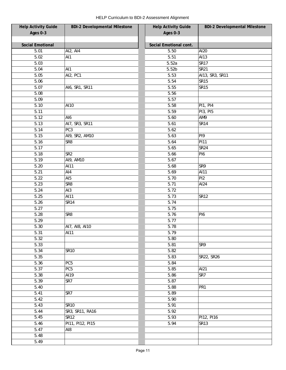| <b>Help Activity Guide</b> | <b>BDI-2 Developmental Milestone</b> | <b>Help Activity Guide</b> | <b>BDI-2 Developmental Milestone</b> |
|----------------------------|--------------------------------------|----------------------------|--------------------------------------|
| Ages 0-3                   |                                      | Ages 0-3                   |                                      |
|                            |                                      |                            |                                      |
| <b>Social Emotional</b>    |                                      | Social Emotional cont.     |                                      |
| 5.01                       | AI2, AI4                             | 5.50                       | AI20                                 |
| 5.02                       | AI1                                  | 5.51                       | AI13                                 |
| 5.03                       |                                      | 5.52a                      | <b>SR17</b>                          |
| 5.04                       | AI1                                  | 5.52 <sub>b</sub>          | <b>SR21</b>                          |
| 5.05                       | AI2, PC1                             | 5.53                       | AI13, SR3, SR11                      |
| 5.06                       |                                      | 5.54                       | <b>SR15</b>                          |
| 5.07                       | AI6, SR1, SR11                       | 5.55                       | <b>SR15</b>                          |
| 5.08                       |                                      | 5.56                       |                                      |
| 5.09                       |                                      | 5.57                       |                                      |
| 5.10                       | AI10                                 | 5.58                       | <b>PI1, PI4</b>                      |
| 5.11                       |                                      | 5.59                       | <b>PI3, PI5</b>                      |
| 5.12                       | AI6                                  | 5.60                       | AM9                                  |
| 5.13                       | AI7, SR3, SR11                       | 5.61                       | <b>SR14</b>                          |
| 5.14                       | PC3                                  | 5.62                       |                                      |
| 5.15                       | AI9, SR2, AM10                       | 5.63                       | PI9                                  |
| 5.16                       | SR <sub>8</sub>                      | 5.64                       | <b>PI11</b>                          |
| 5.17                       |                                      | 5.65                       | <b>SR24</b>                          |
| 5.18                       | SR <sub>2</sub>                      | 5.66                       | PI <sub>6</sub>                      |
| 5.19                       | AI9, AM10                            | 5.67                       |                                      |
| 5.20                       | AI11                                 | 5.68                       | SR9                                  |
| 5.21                       | AI4                                  | 5.69                       | AI11                                 |
|                            |                                      |                            |                                      |
| 5.22                       | AI <sub>5</sub>                      | 5.70                       | PI <sub>2</sub>                      |
| 5.23                       | SR <sub>8</sub>                      | 5.71                       | AI24                                 |
| 5.24                       | AI3                                  | 5.72                       |                                      |
| 5.25                       | AI11                                 | 5.73                       | <b>SR12</b>                          |
| 5.26                       | <b>SR14</b>                          | 5.74                       |                                      |
| 5.27                       |                                      | 5.75                       |                                      |
| 5.28                       | SR8                                  | 5.76                       | PI <sub>6</sub>                      |
| 5.29                       |                                      | 5.77                       |                                      |
| 5.30                       | AI7, AI8, AI10                       | 5.78                       |                                      |
| 5.31                       | AI11                                 | 5.79                       |                                      |
| 5.32                       |                                      | 5.80                       |                                      |
| 5.33                       |                                      | 5.81                       | SR9                                  |
| 5.34                       | <b>SR10</b>                          | 5.82                       |                                      |
| 5.35                       |                                      | 5.83                       | SR22, SR26                           |
| 5.36                       | PC <sub>5</sub>                      | 5.84                       |                                      |
| 5.37                       | PC <sub>5</sub>                      | 5.85                       | AI21                                 |
| 5.38                       | AI19                                 | 5.86                       | SR7                                  |
| 5.39                       | SR7                                  | 5.87                       |                                      |
| 5.40                       |                                      | 5.88                       | PR <sub>1</sub>                      |
| 5.41                       | SR7                                  | 5.89                       |                                      |
| 5.42                       |                                      | 5.90                       |                                      |
| 5.43                       | <b>SR10</b>                          | 5.91                       |                                      |
| 5.44                       | SR3, SR11, RA16                      | 5.92                       |                                      |
| 5.45                       | <b>SR12</b>                          | 5.93                       | PI12, PI16                           |
| 5.46                       | PI11, PI12, PI15                     | 5.94                       | <b>SR13</b>                          |
| 5.47                       | AI8                                  |                            |                                      |
| 5.48                       |                                      |                            |                                      |
| 5.49                       |                                      |                            |                                      |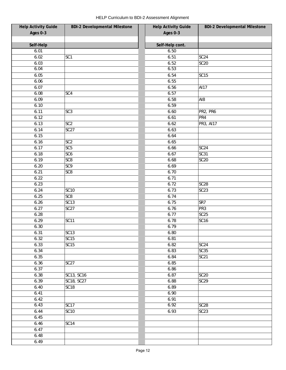| <b>Help Activity Guide</b> | <b>BDI-2 Developmental Milestone</b> | <b>Help Activity Guide</b> | <b>BDI-2 Developmental Milestone</b> |
|----------------------------|--------------------------------------|----------------------------|--------------------------------------|
| Ages 0-3                   |                                      | Ages 0-3                   |                                      |
|                            |                                      |                            |                                      |
| Self-Help                  |                                      | Self-Help cont.            |                                      |
| 6.01                       |                                      | 6.50                       |                                      |
| 6.02                       | SC <sub>1</sub>                      | 6.51                       | SC24                                 |
| 6.03                       |                                      | 6.52                       | $\overline{SC20}$                    |
| 6.04                       |                                      | 6.53                       |                                      |
| 6.05                       |                                      | 6.54                       | <b>SC15</b>                          |
| 6.06                       |                                      | 6.55                       |                                      |
| 6.07                       |                                      | 6.56                       | AI17                                 |
| 6.08                       | SC4                                  | 6.57                       |                                      |
| 6.09                       |                                      | 6.58                       | AI8                                  |
| 6.10                       |                                      | 6.59                       |                                      |
| 6.11                       | SC <sub>3</sub>                      | 6.60                       | PR2, PR6                             |
| 6.12                       |                                      | 6.61                       | PR4                                  |
| 6.13                       | SC <sub>2</sub>                      | 6.62                       | PR3, AI17                            |
| 6.14                       | SC <sub>27</sub>                     | 6.63                       |                                      |
| 6.15                       |                                      | 6.64                       |                                      |
| 6.16                       | SC <sub>2</sub>                      | 6.65                       |                                      |
| 6.17                       | SC <sub>5</sub>                      | 6.66                       | SC24                                 |
| 6.18                       | SC <sub>6</sub>                      | 6.67                       | SC31                                 |
| 6.19                       | SC <sub>8</sub>                      | 6.68                       | <b>SC20</b>                          |
| 6.20                       | SC <sub>9</sub>                      | 6.69                       |                                      |
| 6.21                       | SC <sub>8</sub>                      | 6.70                       |                                      |
| 6.22                       |                                      | 6.71                       |                                      |
| 6.23                       |                                      | 6.72                       | SC <sub>28</sub>                     |
| 6.24                       | <b>SC10</b>                          | 6.73                       | SC <sub>23</sub>                     |
| 6.25                       | SC <sub>8</sub>                      | 6.74                       |                                      |
| 6.26                       | SC13                                 | 6.75                       | SR7                                  |
| 6.27                       | SC <sub>27</sub>                     | 6.76                       | PR <sub>3</sub>                      |
| 6.28                       |                                      | 6.77                       | SC25                                 |
| 6.29                       | SC <sub>11</sub>                     | 6.78                       | SC <sub>16</sub>                     |
| 6.30                       |                                      | 6.79                       |                                      |
| 6.31                       | SC13                                 | 6.80                       |                                      |
| 6.32                       | <b>SC15</b>                          | 6.81                       |                                      |
| 6.33                       | SC15                                 | 6.82                       | SC <sub>24</sub>                     |
| 6.34                       |                                      | 6.83                       | SC35                                 |
| 6.35                       |                                      | 6.84                       | <b>SC21</b>                          |
| 6.36                       | SC27                                 | 6.85                       |                                      |
| 6.37                       |                                      | 6.86                       |                                      |
| 6.38                       | SC13, SC16                           | 6.87                       | <b>SC20</b>                          |
| 6.39                       | SC18, SC27                           | 6.88                       | SC29                                 |
| 6.40                       | SC <sub>18</sub>                     | 6.89                       |                                      |
| 6.41                       |                                      | 6.90                       |                                      |
| 6.42                       |                                      | 6.91                       |                                      |
| 6.43                       | <b>SC17</b>                          | 6.92                       | SC28                                 |
| 6.44                       | <b>SC10</b>                          | 6.93                       | SC23                                 |
| 6.45                       |                                      |                            |                                      |
| 6.46                       | SC <sub>14</sub>                     |                            |                                      |
| 6.47                       |                                      |                            |                                      |
| 6.48                       |                                      |                            |                                      |
|                            |                                      |                            |                                      |
| 6.49                       |                                      |                            |                                      |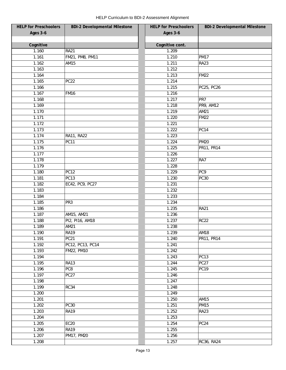| <b>HELP for Preschoolers</b> | <b>BDI-2 Developmental Milestone</b> | <b>HELP for Preschoolers</b> | <b>BDI-2 Developmental Milestone</b> |
|------------------------------|--------------------------------------|------------------------------|--------------------------------------|
| <b>Ages 3-6</b>              |                                      | <b>Ages 3-6</b>              |                                      |
|                              |                                      |                              |                                      |
| Cognitive                    |                                      | Cognitive cont.              |                                      |
| 1.160                        | <b>RA21</b>                          | 1.209                        |                                      |
| 1.161                        | FM21, PM8, PM11                      | 1.210                        | <b>PM17</b>                          |
| 1.162                        | AM15                                 | 1.211                        | <b>RA23</b>                          |
| 1.163                        |                                      | 1.212                        |                                      |
| 1.164                        |                                      | 1.213                        | <b>FM22</b>                          |
| 1.165                        | PC <sub>22</sub>                     | 1.214                        |                                      |
| 1.166                        |                                      | 1.215                        | PC25, PC26                           |
| 1.167                        | <b>FM16</b>                          | 1.216                        |                                      |
| 1.168                        |                                      | 1.217                        | PR7                                  |
| 1.169                        |                                      | 1.218                        | PR9, AM12                            |
| 1.170                        |                                      | 1.219                        | AM21                                 |
| 1.171                        |                                      | 1.220                        | <b>FM22</b>                          |
| 1.172                        |                                      | 1.221                        |                                      |
| 1.173                        |                                      | 1.222                        | <b>PC14</b>                          |
| 1.174                        | RA11, RA22                           | 1.223                        |                                      |
| 1.175                        | <b>PC11</b>                          | 1.224                        | <b>PM20</b>                          |
| 1.176                        |                                      | 1.225                        | PR11, PR14                           |
| 1.177                        |                                      | 1.226                        |                                      |
| 1.178                        |                                      | 1.227                        | RA7                                  |
| 1.179                        |                                      | 1.228                        |                                      |
| 1.180                        | <b>PC12</b>                          | 1.229                        | PC9                                  |
| 1.181                        | PC13                                 | 1.230                        | <b>PC30</b>                          |
| 1.182                        | EC42, PC9, PC27                      | 1.231                        |                                      |
| 1.183                        |                                      | 1.232                        |                                      |
| 1.184                        |                                      | 1.233                        |                                      |
| 1.185                        | PR <sub>3</sub>                      | 1.234                        |                                      |
| 1.186                        |                                      | 1.235                        | <b>RA21</b>                          |
| 1.187                        | AM15, AM21                           | 1.236                        |                                      |
| 1.188                        | PI2, PI16, AM18                      | 1.237                        | <b>RC22</b>                          |
| 1.189                        | AM21                                 | 1.238                        |                                      |
| 1.190                        | <b>RA19</b>                          | 1.239                        | <b>AM18</b>                          |
| 1.191                        | <b>PC21</b>                          | 1.240                        | PR11, PR14                           |
| 1.192                        | PC12, PC13, PC14                     | 1.241                        |                                      |
| 1.193                        | FM22, PM10                           | 1.242                        |                                      |
| 1.194                        |                                      | 1.243                        | <b>PC13</b>                          |
| 1.195                        | <b>RA13</b>                          | 1.244                        | <b>PC27</b>                          |
| 1.196                        | PC8                                  | 1.245                        | <b>PC19</b>                          |
| 1.197                        | PC <sub>27</sub>                     | 1.246                        |                                      |
| 1.198                        |                                      | 1.247                        |                                      |
| 1.199                        | <b>RC34</b>                          | 1.248                        |                                      |
| 1.200                        |                                      | 1.249                        |                                      |
| 1.201                        |                                      | 1.250                        | <b>AM15</b>                          |
| 1.202                        | <b>PC30</b>                          | 1.251                        | <b>PM15</b>                          |
| 1.203                        | <b>RA19</b>                          | 1.252                        | <b>RA23</b>                          |
| 1.204                        |                                      | 1.253                        |                                      |
| 1.205                        | <b>EC20</b>                          | 1.254                        | PC <sub>24</sub>                     |
| 1.206                        | <b>RA19</b>                          | 1.255                        |                                      |
| 1.207                        | PM17, PM20                           | 1.256                        |                                      |
| 1.208                        |                                      | 1.257                        | <b>RC36, RA24</b>                    |
|                              |                                      |                              |                                      |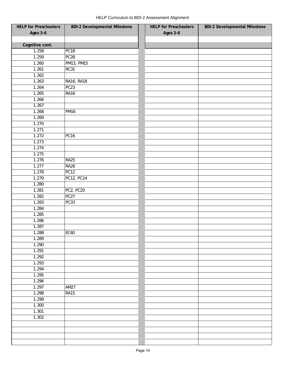| <b>HELP for Preschoolers</b> | <b>BDI-2 Developmental Milestone</b> | <b>HELP for Preschoolers</b> | <b>BDI-2 Developmental Milestone</b> |
|------------------------------|--------------------------------------|------------------------------|--------------------------------------|
| <b>Ages 3-6</b>              |                                      | Ages 3-6                     |                                      |
|                              |                                      |                              |                                      |
| Cognitive cont.              |                                      |                              |                                      |
| 1.258                        | PC <sub>18</sub>                     |                              |                                      |
| 1.259                        | PC28                                 |                              |                                      |
| 1.260                        | PM13, PM15                           |                              |                                      |
| 1.261                        | RC31                                 |                              |                                      |
| 1.262                        |                                      |                              |                                      |
| 1.263                        | <b>RA16, RA18</b>                    |                              |                                      |
| 1.264                        | PC <sub>23</sub>                     |                              |                                      |
| 1.265                        | <b>RA16</b>                          |                              |                                      |
| 1.266                        |                                      |                              |                                      |
| 1.267                        |                                      |                              |                                      |
| 1.268                        | <b>PM16</b>                          |                              |                                      |
| 1.269                        |                                      |                              |                                      |
| 1.270                        |                                      |                              |                                      |
| 1.271                        |                                      |                              |                                      |
| 1.272                        | <b>PC16</b>                          |                              |                                      |
| 1.273                        |                                      |                              |                                      |
| 1.274                        |                                      |                              |                                      |
| 1.275                        |                                      |                              |                                      |
| 1.276                        | RA25                                 |                              |                                      |
| 1.277                        | <b>RA26</b>                          |                              |                                      |
| 1.278                        | PC <sub>12</sub>                     |                              |                                      |
| 1.279                        | PC12, PC14                           |                              |                                      |
| 1.280                        |                                      |                              |                                      |
| 1.281                        | PC2, PC20                            |                              |                                      |
| 1.282                        | PC <sub>27</sub>                     |                              |                                      |
| 1.283                        | PC33                                 |                              |                                      |
| 1.284                        |                                      |                              |                                      |
| 1.285                        |                                      |                              |                                      |
| 1.286                        |                                      |                              |                                      |
| 1.287                        |                                      |                              |                                      |
| 1.288                        | $\overline{\text{EC}}$ 40            |                              |                                      |
| 1.289                        |                                      |                              |                                      |
| 1.290                        |                                      |                              |                                      |
| 1.291                        |                                      |                              |                                      |
| 1.292                        |                                      |                              |                                      |
| 1.293                        |                                      |                              |                                      |
| 1.294                        |                                      |                              |                                      |
| 1.295                        |                                      |                              |                                      |
| 1.296                        |                                      |                              |                                      |
| 1.297                        | <b>AM27</b>                          |                              |                                      |
| 1.298                        | <b>RA15</b>                          |                              |                                      |
| 1.299                        |                                      |                              |                                      |
| 1.300                        |                                      |                              |                                      |
| 1.301                        |                                      |                              |                                      |
| 1.302                        |                                      |                              |                                      |
|                              |                                      |                              |                                      |
|                              |                                      |                              |                                      |
|                              |                                      |                              |                                      |
|                              |                                      |                              |                                      |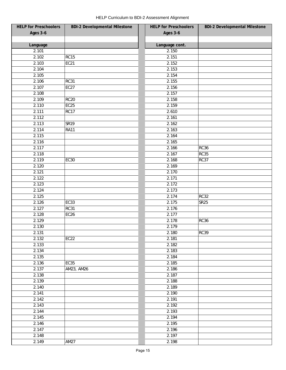| <b>HELP for Preschoolers</b> | <b>BDI-2 Developmental Milestone</b> | <b>HELP</b> for Preschoolers | <b>BDI-2 Developmental Milestone</b> |
|------------------------------|--------------------------------------|------------------------------|--------------------------------------|
| Ages 3-6                     |                                      | Ages 3-6                     |                                      |
|                              |                                      |                              |                                      |
| Language                     |                                      | Language cont.               |                                      |
| 2.101                        |                                      | 2.150                        |                                      |
| 2.102                        | RC15                                 | 2.151                        |                                      |
| 2.103                        | <b>EC21</b>                          | 2.152                        |                                      |
| 2.104                        |                                      | 2.153                        |                                      |
| 2.105                        |                                      | 2.154                        |                                      |
| 2.106                        | <b>RC31</b>                          | 2.155                        |                                      |
| 2.107                        | EC <sub>27</sub>                     | 2.156                        |                                      |
| 2.108                        |                                      | 2.157                        |                                      |
| 2.109                        | <b>RC20</b>                          | 2.158                        |                                      |
| 2.110                        | EC <sub>25</sub>                     | 2.159                        |                                      |
| 2.111                        | <b>RC17</b>                          | 2.610                        |                                      |
| 2.112                        |                                      | 2.161                        |                                      |
| 2.113                        | SR <sub>19</sub>                     | 2.162                        |                                      |
| 2.114                        | <b>RA11</b>                          | 2.163                        |                                      |
| 2.115                        |                                      | 2.164                        |                                      |
| 2.116                        |                                      | 2.165                        |                                      |
| 2.117                        |                                      | 2.166                        | <b>RC36</b>                          |
| 2.118                        |                                      | 2.167                        | <b>RC35</b>                          |
| 2.119                        | <b>EC30</b>                          | 2.168                        | <b>RC37</b>                          |
| 2.120                        |                                      | 2.169                        |                                      |
| 2.121                        |                                      | 2.170                        |                                      |
| 2.122                        |                                      | 2.171                        |                                      |
| 2.123                        |                                      | 2.172                        |                                      |
| 2.124                        |                                      | 2.173                        |                                      |
| 2.125                        |                                      | 2.174                        | <b>RC32</b>                          |
| 2.126                        | EC33                                 | 2.175                        | <b>SR25</b>                          |
| 2.127                        | <b>RC31</b>                          | 2.176                        |                                      |
| 2.128                        | EC <sub>26</sub>                     | 2.177                        |                                      |
| 2.129                        |                                      | 2.178                        | <b>RC36</b>                          |
| 2.130                        |                                      | 2.179                        |                                      |
| 2.131                        |                                      | 2.180                        | <b>RC39</b>                          |
| 2.132                        | <b>EC22</b>                          | 2.181                        |                                      |
|                              |                                      | 2.182                        |                                      |
| 2.133                        |                                      |                              |                                      |
| 2.134                        |                                      | 2.183                        |                                      |
| 2.135                        |                                      | 2.184                        |                                      |
| 2.136                        | <b>EC35</b>                          | 2.185                        |                                      |
| 2.137                        | AM23, AM26                           | 2.186                        |                                      |
| 2.138                        |                                      | 2.187                        |                                      |
| 2.139                        |                                      | 2.188                        |                                      |
| 2.140                        |                                      | 2.189                        |                                      |
| 2.141                        |                                      | 2.190                        |                                      |
| 2.142                        |                                      | 2.191                        |                                      |
| 2.143                        |                                      | 2.192                        |                                      |
| 2.144                        |                                      | 2.193                        |                                      |
| 2.145                        |                                      | 2.194                        |                                      |
| 2.146                        |                                      | 2.195                        |                                      |
| 2.147                        |                                      | 2.196                        |                                      |
| 2.148                        |                                      | 2.197                        |                                      |
| 2.149                        | <b>AM27</b>                          | 2.198                        |                                      |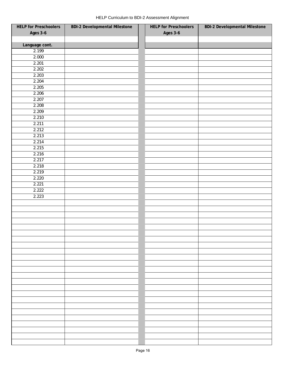| <b>HELP for Preschoolers</b> | <b>BDI-2 Developmental Milestone</b> | <b>HELP for Preschoolers</b> | <b>BDI-2 Developmental Milestone</b> |
|------------------------------|--------------------------------------|------------------------------|--------------------------------------|
| <b>Ages 3-6</b>              |                                      | <b>Ages 3-6</b>              |                                      |
|                              |                                      |                              |                                      |
| Language cont.               |                                      |                              |                                      |
| 2.199                        |                                      |                              |                                      |
| 2.000                        |                                      |                              |                                      |
| 2.201                        |                                      |                              |                                      |
| 2.202                        |                                      |                              |                                      |
| 2.203                        |                                      |                              |                                      |
| 2.204                        |                                      |                              |                                      |
| 2.205                        |                                      |                              |                                      |
| 2.206                        |                                      |                              |                                      |
| 2.207                        |                                      |                              |                                      |
| 2.208                        |                                      |                              |                                      |
| 2.209                        |                                      |                              |                                      |
| 2.210                        |                                      |                              |                                      |
| 2.211                        |                                      |                              |                                      |
| 2.212                        |                                      |                              |                                      |
| 2.213                        |                                      |                              |                                      |
| 2.214                        |                                      |                              |                                      |
| 2.215                        |                                      |                              |                                      |
| 2.216                        |                                      |                              |                                      |
| 2.217                        |                                      |                              |                                      |
| 2.218                        |                                      |                              |                                      |
| 2.219                        |                                      |                              |                                      |
| 2.220                        |                                      |                              |                                      |
| 2.221                        |                                      |                              |                                      |
| 2.222                        |                                      |                              |                                      |
| 2.223                        |                                      |                              |                                      |
|                              |                                      |                              |                                      |
|                              |                                      |                              |                                      |
|                              |                                      |                              |                                      |
|                              |                                      |                              |                                      |
|                              |                                      |                              |                                      |
|                              |                                      |                              |                                      |
|                              |                                      |                              |                                      |
|                              |                                      |                              |                                      |
|                              |                                      |                              |                                      |
|                              |                                      |                              |                                      |
|                              |                                      |                              |                                      |
|                              |                                      |                              |                                      |
|                              |                                      |                              |                                      |
|                              |                                      |                              |                                      |
|                              |                                      |                              |                                      |
|                              |                                      |                              |                                      |
|                              |                                      |                              |                                      |
|                              |                                      |                              |                                      |
|                              |                                      |                              |                                      |
|                              |                                      |                              |                                      |
|                              |                                      |                              |                                      |
|                              |                                      |                              |                                      |
|                              |                                      |                              |                                      |
|                              |                                      |                              |                                      |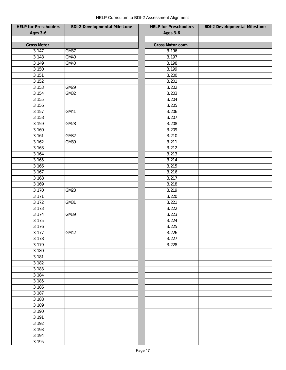| <b>HELP for Preschoolers</b> | <b>BDI-2 Developmental Milestone</b> | <b>HELP for Preschoolers</b> | <b>BDI-2 Developmental Milestone</b> |
|------------------------------|--------------------------------------|------------------------------|--------------------------------------|
| <b>Ages 3-6</b>              |                                      | Ages 3-6                     |                                      |
|                              |                                      |                              |                                      |
| <b>Gross Motor</b>           |                                      | Gross Motor cont.            |                                      |
| 3.147                        | <b>GM37</b>                          | 3.196                        |                                      |
| 3.148                        | GM40                                 | 3.197                        |                                      |
| 3.149                        | GM40                                 | 3.198                        |                                      |
| 3.150                        |                                      | 3.199                        |                                      |
| 3.151                        |                                      | 3.200                        |                                      |
| 3.152                        |                                      | 3.201                        |                                      |
| 3.153                        | <b>GM29</b>                          | 3.202                        |                                      |
| 3.154                        | GM32                                 | 3.203                        |                                      |
| 3.155                        |                                      | 3.204                        |                                      |
| 3.156                        |                                      | 3.205                        |                                      |
| 3.157                        | GM41                                 | 3.206                        |                                      |
| 3.158                        |                                      | 3.207                        |                                      |
| 3.159                        | GM28                                 | 3.208                        |                                      |
| 3.160                        |                                      | 3.209                        |                                      |
| 3.161                        | GM32                                 | 3.210                        |                                      |
| 3.162                        | GM39                                 | 3.211                        |                                      |
| 3.163                        |                                      | 3.212                        |                                      |
| 3.164                        |                                      | 3.213                        |                                      |
| 3.165                        |                                      | 3.214                        |                                      |
| 3.166                        |                                      | 3.215                        |                                      |
| 3.167                        |                                      | 3.216                        |                                      |
| 3.168                        |                                      | 3.217                        |                                      |
| 3.169                        |                                      | 3.218                        |                                      |
| 3.170                        | GM23                                 | 3.219                        |                                      |
| 3.171                        |                                      | 3.220                        |                                      |
| 3.172                        | GM31                                 | 3.221                        |                                      |
| 3.173                        |                                      | 3.222                        |                                      |
| 3.174                        | GM39                                 | 3.223                        |                                      |
| 3.175                        |                                      | 3.224                        |                                      |
| 3.176                        |                                      | 3.225                        |                                      |
| 3.177                        | GM42                                 | 3.226                        |                                      |
| 3.178                        |                                      | 3.227                        |                                      |
| 3.179                        |                                      | 3.228                        |                                      |
| 3.180                        |                                      |                              |                                      |
| 3.181                        |                                      |                              |                                      |
| 3.182                        |                                      |                              |                                      |
| 3.183                        |                                      |                              |                                      |
| 3.184                        |                                      |                              |                                      |
| 3.185                        |                                      |                              |                                      |
| 3.186                        |                                      |                              |                                      |
| 3.187                        |                                      |                              |                                      |
| 3.188                        |                                      |                              |                                      |
| 3.189                        |                                      |                              |                                      |
| 3.190                        |                                      |                              |                                      |
| 3.191                        |                                      |                              |                                      |
| 3.192                        |                                      |                              |                                      |
| 3.193                        |                                      |                              |                                      |
| 3.194                        |                                      |                              |                                      |
| 3.195                        |                                      |                              |                                      |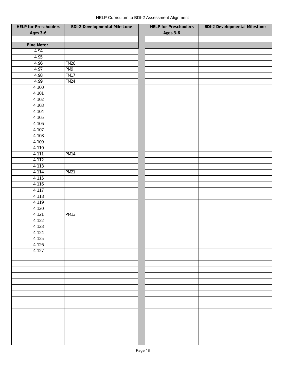| <b>Ages 3-6</b><br><b>Ages 3-6</b><br><b>Fine Motor</b><br>4.94<br>4.95<br>4.96<br><b>FM26</b><br>4.97<br>PM9<br><b>FM17</b><br>4.98<br>4.99<br><b>FM24</b><br>4.100<br>4.101<br>4.102<br>4.103<br>4.104<br>4.105<br>4.106<br>4.107<br>4.108<br>4.109<br>4.110<br>4.111<br><b>PM14</b><br>4.112<br>4.113<br>4.114<br><b>PM21</b><br>4.115<br>4.116<br>4.117<br>4.118<br>4.119<br>4.120<br>4.121<br><b>PM13</b><br>4.122<br>4.123<br>4.124<br>4.125<br>4.126<br>4.127 | <b>HELP for Preschoolers</b> | <b>BDI-2 Developmental Milestone</b> | <b>HELP for Preschoolers</b> | <b>BDI-2 Developmental Milestone</b> |
|----------------------------------------------------------------------------------------------------------------------------------------------------------------------------------------------------------------------------------------------------------------------------------------------------------------------------------------------------------------------------------------------------------------------------------------------------------------------|------------------------------|--------------------------------------|------------------------------|--------------------------------------|
|                                                                                                                                                                                                                                                                                                                                                                                                                                                                      |                              |                                      |                              |                                      |
|                                                                                                                                                                                                                                                                                                                                                                                                                                                                      |                              |                                      |                              |                                      |
|                                                                                                                                                                                                                                                                                                                                                                                                                                                                      |                              |                                      |                              |                                      |
|                                                                                                                                                                                                                                                                                                                                                                                                                                                                      |                              |                                      |                              |                                      |
|                                                                                                                                                                                                                                                                                                                                                                                                                                                                      |                              |                                      |                              |                                      |
|                                                                                                                                                                                                                                                                                                                                                                                                                                                                      |                              |                                      |                              |                                      |
|                                                                                                                                                                                                                                                                                                                                                                                                                                                                      |                              |                                      |                              |                                      |
|                                                                                                                                                                                                                                                                                                                                                                                                                                                                      |                              |                                      |                              |                                      |
|                                                                                                                                                                                                                                                                                                                                                                                                                                                                      |                              |                                      |                              |                                      |
|                                                                                                                                                                                                                                                                                                                                                                                                                                                                      |                              |                                      |                              |                                      |
|                                                                                                                                                                                                                                                                                                                                                                                                                                                                      |                              |                                      |                              |                                      |
|                                                                                                                                                                                                                                                                                                                                                                                                                                                                      |                              |                                      |                              |                                      |
|                                                                                                                                                                                                                                                                                                                                                                                                                                                                      |                              |                                      |                              |                                      |
|                                                                                                                                                                                                                                                                                                                                                                                                                                                                      |                              |                                      |                              |                                      |
|                                                                                                                                                                                                                                                                                                                                                                                                                                                                      |                              |                                      |                              |                                      |
|                                                                                                                                                                                                                                                                                                                                                                                                                                                                      |                              |                                      |                              |                                      |
|                                                                                                                                                                                                                                                                                                                                                                                                                                                                      |                              |                                      |                              |                                      |
|                                                                                                                                                                                                                                                                                                                                                                                                                                                                      |                              |                                      |                              |                                      |
|                                                                                                                                                                                                                                                                                                                                                                                                                                                                      |                              |                                      |                              |                                      |
|                                                                                                                                                                                                                                                                                                                                                                                                                                                                      |                              |                                      |                              |                                      |
|                                                                                                                                                                                                                                                                                                                                                                                                                                                                      |                              |                                      |                              |                                      |
|                                                                                                                                                                                                                                                                                                                                                                                                                                                                      |                              |                                      |                              |                                      |
|                                                                                                                                                                                                                                                                                                                                                                                                                                                                      |                              |                                      |                              |                                      |
|                                                                                                                                                                                                                                                                                                                                                                                                                                                                      |                              |                                      |                              |                                      |
|                                                                                                                                                                                                                                                                                                                                                                                                                                                                      |                              |                                      |                              |                                      |
|                                                                                                                                                                                                                                                                                                                                                                                                                                                                      |                              |                                      |                              |                                      |
|                                                                                                                                                                                                                                                                                                                                                                                                                                                                      |                              |                                      |                              |                                      |
|                                                                                                                                                                                                                                                                                                                                                                                                                                                                      |                              |                                      |                              |                                      |
|                                                                                                                                                                                                                                                                                                                                                                                                                                                                      |                              |                                      |                              |                                      |
|                                                                                                                                                                                                                                                                                                                                                                                                                                                                      |                              |                                      |                              |                                      |
|                                                                                                                                                                                                                                                                                                                                                                                                                                                                      |                              |                                      |                              |                                      |
|                                                                                                                                                                                                                                                                                                                                                                                                                                                                      |                              |                                      |                              |                                      |
|                                                                                                                                                                                                                                                                                                                                                                                                                                                                      |                              |                                      |                              |                                      |
|                                                                                                                                                                                                                                                                                                                                                                                                                                                                      |                              |                                      |                              |                                      |
|                                                                                                                                                                                                                                                                                                                                                                                                                                                                      |                              |                                      |                              |                                      |
|                                                                                                                                                                                                                                                                                                                                                                                                                                                                      |                              |                                      |                              |                                      |
|                                                                                                                                                                                                                                                                                                                                                                                                                                                                      |                              |                                      |                              |                                      |
|                                                                                                                                                                                                                                                                                                                                                                                                                                                                      |                              |                                      |                              |                                      |
|                                                                                                                                                                                                                                                                                                                                                                                                                                                                      |                              |                                      |                              |                                      |
|                                                                                                                                                                                                                                                                                                                                                                                                                                                                      |                              |                                      |                              |                                      |
|                                                                                                                                                                                                                                                                                                                                                                                                                                                                      |                              |                                      |                              |                                      |
|                                                                                                                                                                                                                                                                                                                                                                                                                                                                      |                              |                                      |                              |                                      |
|                                                                                                                                                                                                                                                                                                                                                                                                                                                                      |                              |                                      |                              |                                      |
|                                                                                                                                                                                                                                                                                                                                                                                                                                                                      |                              |                                      |                              |                                      |
|                                                                                                                                                                                                                                                                                                                                                                                                                                                                      |                              |                                      |                              |                                      |
|                                                                                                                                                                                                                                                                                                                                                                                                                                                                      |                              |                                      |                              |                                      |
|                                                                                                                                                                                                                                                                                                                                                                                                                                                                      |                              |                                      |                              |                                      |
|                                                                                                                                                                                                                                                                                                                                                                                                                                                                      |                              |                                      |                              |                                      |
|                                                                                                                                                                                                                                                                                                                                                                                                                                                                      |                              |                                      |                              |                                      |
|                                                                                                                                                                                                                                                                                                                                                                                                                                                                      |                              |                                      |                              |                                      |
|                                                                                                                                                                                                                                                                                                                                                                                                                                                                      |                              |                                      |                              |                                      |
|                                                                                                                                                                                                                                                                                                                                                                                                                                                                      |                              |                                      |                              |                                      |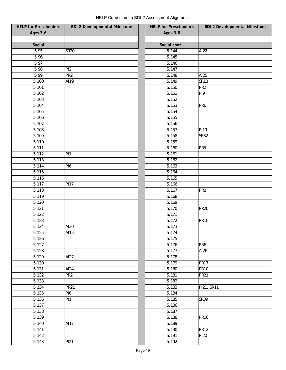| <b>HELP for Preschoolers</b> | <b>BDI-2 Developmental Milestone</b> | <b>HELP for Preschoolers</b> | <b>BDI-2 Developmental Milestone</b> |
|------------------------------|--------------------------------------|------------------------------|--------------------------------------|
| Ages 3-6                     |                                      | Ages 3-6                     |                                      |
|                              |                                      |                              |                                      |
| Social                       |                                      | Social cont.                 |                                      |
| 5.95                         | <b>SR20</b>                          | 5.144                        | AI22                                 |
| 5.96                         |                                      | 5.145                        |                                      |
| 5.97                         |                                      | 5.146                        |                                      |
| 5.98                         | PI <sub>2</sub>                      | 5.147                        |                                      |
| 5.99                         | PR <sub>2</sub>                      | 5.148                        | AI25                                 |
| 5.100                        | AI19                                 | 5.149                        | <b>SR18</b>                          |
| 5.101                        |                                      | 5.150                        | PR <sub>2</sub>                      |
| 5.102                        |                                      | 5.151                        | PI9                                  |
| 5.103                        |                                      | 5.152                        |                                      |
| 5.104                        |                                      | 5.153                        | PR <sub>6</sub>                      |
| 5.105                        |                                      | 5.154                        |                                      |
| 5.106                        |                                      | 5.155                        |                                      |
| 5.107                        |                                      | 5.156                        |                                      |
| 5.108                        |                                      | 5.157                        | PI19                                 |
| 5.109                        |                                      | 5.158                        | <b>SR32</b>                          |
| 5.110                        |                                      | 5.159                        |                                      |
| 5.111                        |                                      | 5.160                        | PR <sub>5</sub>                      |
| 5.112                        | PI <sub>1</sub>                      | 5.161                        |                                      |
| 5.113                        |                                      | 5.162                        |                                      |
| 5.114                        | $\overline{P}$ 16                    | 5.163                        |                                      |
| 5.115                        |                                      | 5.164                        |                                      |
| 5.116                        |                                      | 5.165                        |                                      |
| 5.117                        | <b>PI17</b>                          | 5.166                        |                                      |
| 5.118                        |                                      | 5.167                        | PR8                                  |
| 5.119                        |                                      | 5.168                        |                                      |
| 5.120                        |                                      | 5.169                        |                                      |
| 5.121                        |                                      | 5.170                        | PR <sub>20</sub>                     |
| 5.122                        |                                      | 5.171                        |                                      |
| 5.123                        |                                      | 5.172                        | <b>PR10</b>                          |
| 5.124                        | AI30                                 | 5.173                        |                                      |
|                              |                                      |                              |                                      |
| 5.125<br>5.126               | AI15                                 | 5.174<br>5.175               |                                      |
|                              |                                      |                              |                                      |
| 5.127<br>5.128               |                                      | 5.176                        | PR <sub>6</sub>                      |
|                              |                                      | 5.177                        | AI26                                 |
| 5.129                        | AI27                                 | 5.178                        |                                      |
| 5.130                        |                                      | 5.179                        | <b>PR17</b>                          |
| 5.131                        | AI24                                 | 5.180                        | <b>PR10</b>                          |
| 5.132                        | PR <sub>2</sub>                      | 5.181                        | <b>PR21</b>                          |
| 5.133                        |                                      | 5.182                        |                                      |
| 5.134                        | <b>PR21</b>                          | 5.183                        | PI21, SR11                           |
| 5.135                        | PI <sub>6</sub>                      | 5.184                        |                                      |
| 5.136                        | PI <sub>1</sub>                      | 5.185                        | <b>SR39</b>                          |
| 5.137                        |                                      | 5.186                        |                                      |
| 5.138                        |                                      | 5.187                        |                                      |
| 5.139                        |                                      | 5.188                        | <b>PR16</b>                          |
| 5.140                        | AI17                                 | 5.189                        |                                      |
| 5.141                        |                                      | 5.190                        | <b>PR12</b>                          |
| 5.142                        |                                      | 5.191                        | <b>PI20</b>                          |
| 5.143                        | PI21                                 | 5.192                        |                                      |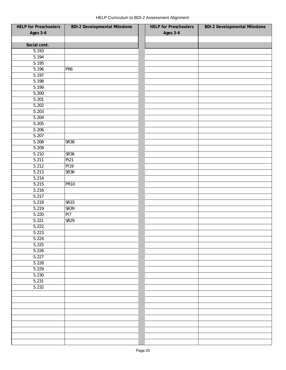| <b>HELP for Preschoolers</b> | <b>BDI-2 Developmental Milestone</b> | <b>HELP for Preschoolers</b> | <b>BDI-2 Developmental Milestone</b> |
|------------------------------|--------------------------------------|------------------------------|--------------------------------------|
| <b>Ages 3-6</b>              |                                      | <b>Ages 3-6</b>              |                                      |
|                              |                                      |                              |                                      |
| Social cont.                 |                                      |                              |                                      |
| 5.193                        |                                      |                              |                                      |
| 5.194                        |                                      |                              |                                      |
| 5.195                        |                                      |                              |                                      |
| 5.196                        | PR <sub>6</sub>                      |                              |                                      |
| 5.197                        |                                      |                              |                                      |
| 5.198                        |                                      |                              |                                      |
| 5.199                        |                                      |                              |                                      |
| 5.200                        |                                      |                              |                                      |
| 5.201                        |                                      |                              |                                      |
| 5.202                        |                                      |                              |                                      |
| 5.203                        |                                      |                              |                                      |
| 5.204                        |                                      |                              |                                      |
| 5.205                        |                                      |                              |                                      |
| 5.206                        |                                      |                              |                                      |
| 5.207                        |                                      |                              |                                      |
| 5.208                        | <b>SR38</b>                          |                              |                                      |
| 5.209                        |                                      |                              |                                      |
| 5.210                        | <b>SR36</b>                          |                              |                                      |
| 5.211                        | <b>PI21</b>                          |                              |                                      |
| 5.212                        | <b>PI19</b>                          |                              |                                      |
| 5.213                        | <b>SR36</b>                          |                              |                                      |
| 5.214                        |                                      |                              |                                      |
| 5.215                        | <b>PR10</b>                          |                              |                                      |
| 5.216                        |                                      |                              |                                      |
| 5.217                        |                                      |                              |                                      |
| 5.218                        | <b>SR33</b>                          |                              |                                      |
| 5.219                        | <b>SR39</b>                          |                              |                                      |
| 5.220                        | PI7                                  |                              |                                      |
| 5.221                        | SR <sub>29</sub>                     |                              |                                      |
| 5.222                        |                                      |                              |                                      |
| 5.223                        |                                      |                              |                                      |
| 5.224                        |                                      |                              |                                      |
| 5.225                        |                                      |                              |                                      |
| 5.226                        |                                      |                              |                                      |
| 5.227                        |                                      |                              |                                      |
| 5.228                        |                                      |                              |                                      |
| 5.229                        |                                      |                              |                                      |
| 5.230                        |                                      |                              |                                      |
| 5.231                        |                                      |                              |                                      |
| 5.232                        |                                      |                              |                                      |
|                              |                                      |                              |                                      |
|                              |                                      |                              |                                      |
|                              |                                      |                              |                                      |
|                              |                                      |                              |                                      |
|                              |                                      |                              |                                      |
|                              |                                      |                              |                                      |
|                              |                                      |                              |                                      |
|                              |                                      |                              |                                      |
|                              |                                      |                              |                                      |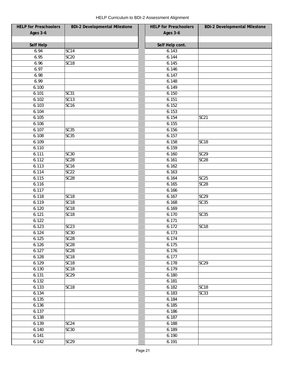| <b>HELP for Preschoolers</b> | <b>BDI-2 Developmental Milestone</b> | <b>HELP for Preschoolers</b> | <b>BDI-2 Developmental Milestone</b> |
|------------------------------|--------------------------------------|------------------------------|--------------------------------------|
| <b>Ages 3-6</b>              |                                      | Ages 3-6                     |                                      |
|                              |                                      |                              |                                      |
| Self Help                    |                                      | Self Help cont.              |                                      |
| 6.94                         | <b>SC14</b>                          | 6.143                        |                                      |
| 6.95                         | SC20                                 | 6.144                        |                                      |
| 6.96                         | SC <sub>18</sub>                     | 6.145                        |                                      |
| 6.97                         |                                      | 6.146                        |                                      |
| 6.98                         |                                      | 6.147                        |                                      |
| 6.99                         |                                      | 6.148                        |                                      |
| 6.100                        |                                      | 6.149                        |                                      |
| 6.101                        | SC31                                 | 6.150                        |                                      |
| 6.102                        | $\overline{SC13}$                    | 6.151                        |                                      |
| 6.103                        | SC <sub>16</sub>                     | 6.152                        |                                      |
| 6.104                        |                                      | 6.153                        |                                      |
| 6.105                        |                                      | 6.154                        | <b>SC21</b>                          |
| 6.106                        |                                      | 6.155                        |                                      |
| 6.107                        | SC35                                 | 6.156                        |                                      |
| 6.108                        | SC35                                 | 6.157                        |                                      |
| 6.109                        |                                      | 6.158                        | SC <sub>18</sub>                     |
| 6.110                        |                                      | 6.159                        |                                      |
| 6.111                        | <b>SC30</b>                          | 6.160                        | SC <sub>29</sub>                     |
| 6.112                        | SC <sub>28</sub>                     | 6.161                        | <b>SC28</b>                          |
| 6.113                        | SC16                                 | 6.162                        |                                      |
| 6.114                        | $\overline{SC22}$                    | 6.163                        |                                      |
| 6.115                        | SC <sub>28</sub>                     | 6.164                        | SC <sub>25</sub>                     |
| 6.116                        |                                      | 6.165                        | <b>SC28</b>                          |
| 6.117                        |                                      | 6.166                        |                                      |
| 6.118                        | SC <sub>18</sub>                     | 6.167                        | <b>SC29</b>                          |
| 6.119                        | SC <sub>18</sub>                     | 6.168                        | SC35                                 |
| 6.120                        | SC <sub>18</sub>                     | 6.169                        |                                      |
| 6.121                        | SC <sub>18</sub>                     | 6.170                        | SC35                                 |
| 6.122                        |                                      | 6.171                        |                                      |
| 6.123                        | SC <sub>23</sub>                     | 6.172                        | <b>SC18</b>                          |
| 6.124                        | SC30                                 | 6.173                        |                                      |
| 6.125                        | SC <sub>28</sub>                     | 6.174                        |                                      |
| 6.126                        | SC <sub>28</sub>                     | 6.175                        |                                      |
| 6.127                        | SC28                                 | 6.176                        |                                      |
| 6.128                        | SC <sub>18</sub>                     | 6.177                        |                                      |
| 6.129                        | SC <sub>18</sub>                     | 6.178                        | SC <sub>29</sub>                     |
| 6.130                        | SC <sub>18</sub>                     | 6.179                        |                                      |
| 6.131                        | SC29                                 | 6.180                        |                                      |
| 6.132                        |                                      | 6.181                        |                                      |
| 6.133                        | SC <sub>18</sub>                     | 6.182                        | <b>SC18</b>                          |
| 6.134                        |                                      | 6.183                        | SC33                                 |
| 6.135                        |                                      | 6.184                        |                                      |
| 6.136                        |                                      | 6.185                        |                                      |
| 6.137                        |                                      | 6.186                        |                                      |
| 6.138                        |                                      | 6.187                        |                                      |
| 6.139                        | SC24                                 | 6.188                        |                                      |
|                              | SC30                                 | 6.189                        |                                      |
| 6.140<br>6.141               |                                      | 6.190                        |                                      |
|                              |                                      |                              |                                      |
| 6.142                        | SC29                                 | 6.191                        |                                      |